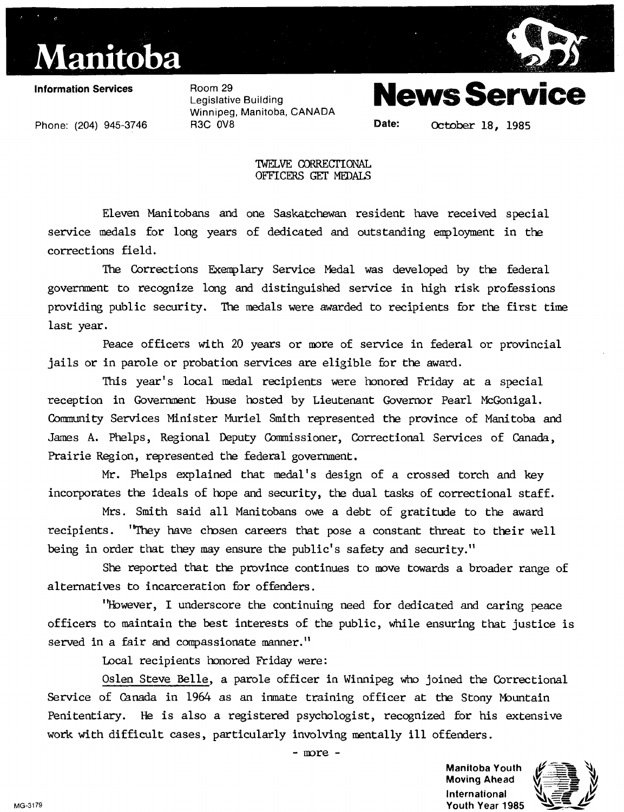



Room 29 Legislative Building Winnipeg, Manitoba, CANADA R3C OV8



**Date:** October 18, 1985

Phone: (204) 945-3746

## TWELVE CORRECTIONAL OFFICERS GET MEDALS

Eleven Manitobans and one Saskatchewan resident have received special service medals for long years of dedicated and outstanding employment in the corrections field.

The Corrections Exemplary Service Medal was developed by the federal government to recognize long and distinguished service in high risk professions providing public security. The medals were awarded to recipients for the first time last year.

Peace officers with 20 years or more of service in federal or provincial jails or in parole or probation services are eligible for the award.

This year's local medal recipients were honored Friday at a special reception in Government House hosted by Lieutenant Governor Pearl McGonigal. Community Services Minister Muriel Smith represented the province of Manitoba and James A. Phelps, Regional Deputy Commissioner, Correctional Services of Canada, Prairie Region, represented the federal government.

Mr. Phelps explained that medal's design of a crossed torch and key incorporates the ideals of hope and security, the dual tasks of correctional staff.

Mrs. Smith said all Manitobans owe a debt of gratitude to the award recipients. "They have chosen careers that pose a constant threat to their well being in order that they may ensure the public's safety and security."

She reported that the province continues to move towards a broader range of alternatives to incarceration for offenders.

"Hbwever, I underscore the continuing need for dedicated and caring peace officers to maintain the best interests of the public, while ensuring that justice is served in a fair and compassionate manner."

Local recipients honored Friday were:

Oslen Steve Belle, a parole officer in Winnipeg who joined the Correctional Service of Canada in 1964 as an inmate training officer at the Stony Mountain Penitentiary. He is also a registered psychologist, recognized for his extensive work with difficult cases, particularly involving mentally ill offenders.

- more -

**Manitoba Youth Moving Ahead International**  MG-3179 **Youth Year 1985**